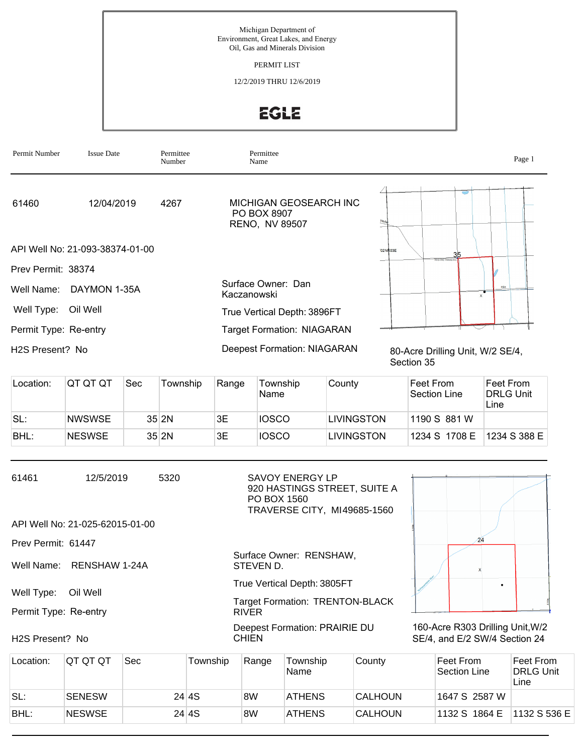Michigan Department of Environment, Great Lakes, and Energy Oil, Gas and Minerals Division

PERMIT LIST

12/2/2019 THRU 12/6/2019

EGLE

| Permit Number         | <b>Issue Date</b>               | Permittee<br>Number | Permittee<br>Name                                       |                                                | Page 1 |
|-----------------------|---------------------------------|---------------------|---------------------------------------------------------|------------------------------------------------|--------|
| 61460                 | 12/04/2019                      | 4267                | MICHIGAN GEOSEARCH INC<br>PO BOX 8907<br>RENO, NV 89507 | <b>Nest</b>                                    |        |
|                       | API Well No: 21-093-38374-01-00 |                     |                                                         | 02NR03E<br>35                                  |        |
| Prev Permit: 38374    |                                 |                     |                                                         | <b>TRIO PAC FARMS IN</b>                       |        |
|                       | Well Name: DAYMON 1-35A         |                     | Surface Owner: Dan<br>Kaczanowski                       | Hile<br>$\times$                               |        |
| Well Type:            | Oil Well                        |                     | True Vertical Depth: 3896FT                             |                                                |        |
| Permit Type: Re-entry |                                 |                     | <b>Target Formation: NIAGARAN</b>                       |                                                |        |
| H2S Present? No       |                                 |                     | <b>Deepest Formation: NIAGARAN</b>                      | 80-Acre Drilling Unit, W/2 SE/4,<br>Section 35 |        |

| Location: | IQT QT QT     | <b>Sec</b> | Township | Range | Township<br>Name | County     | Feet From<br>Section Line | Feet From<br><b>DRLG Unit</b><br>Line |
|-----------|---------------|------------|----------|-------|------------------|------------|---------------------------|---------------------------------------|
| SL:       | <b>NWSWSE</b> |            | $35$ 2N  | 3Е.   | <b>IOSCO</b>     | LIVINGSTON | 1190 S 881 W              |                                       |
| BHL:      | <b>NESWSE</b> |            | $35$ 2N  | 3Е    | <b>IOSCO</b>     | LIVINGSTON | 1234 S 1708 E             | 1234 S 388 E                          |

| 61461                 | 12/5/2019                       | 5320 | <b>SAVOY ENERGY LP</b><br>920 HASTINGS STREET, SUITE A<br>PO BOX 1560<br>TRAVERSE CITY, MI49685-1560 |                                                                   |
|-----------------------|---------------------------------|------|------------------------------------------------------------------------------------------------------|-------------------------------------------------------------------|
|                       | API Well No: 21-025-62015-01-00 |      |                                                                                                      |                                                                   |
| Prev Permit: 61447    |                                 |      |                                                                                                      |                                                                   |
|                       | Well Name: RENSHAW 1-24A        |      | Surface Owner: RENSHAW,<br>STEVEN D.                                                                 |                                                                   |
|                       | Oil Well                        |      | True Vertical Depth: 3805FT                                                                          |                                                                   |
| Well Type:            |                                 |      | <b>Target Formation: TRENTON-BLACK</b>                                                               |                                                                   |
| Permit Type: Re-entry |                                 |      | <b>RIVER</b>                                                                                         |                                                                   |
| H2S Present? No       |                                 |      | Deepest Formation: PRAIRIE DU<br><b>CHIEN</b>                                                        | 160-Acre R303 Drilling Unit, W/2<br>SE/4, and E/2 SW/4 Section 24 |

| Location: | IQT QT QT     | Sec | Township | Range | Township      | County         | Feet From     | Feet From                |
|-----------|---------------|-----|----------|-------|---------------|----------------|---------------|--------------------------|
|           |               |     |          |       | Name          |                | Section Line  | <b>DRLG Unit</b><br>Line |
| SL:       | <b>SENESW</b> |     | 24 4 S   | 8W    | <b>ATHENS</b> | <b>CALHOUN</b> | 1647 S 2587 W |                          |
| BHL:      | <b>NESWSE</b> |     | 24 4 S   | 8W    | <b>ATHENS</b> | <b>CALHOUN</b> | 1132 S 1864 E | 1132 S 536 E             |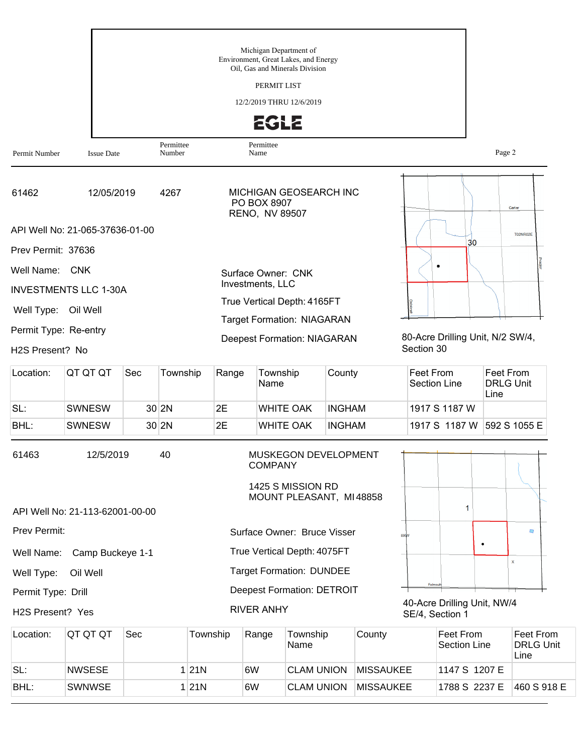|                       |                                 |     |                     |          | Michigan Department of        | Environment, Great Lakes, and Energy<br>Oil, Gas and Minerals Division |                         |        |                                                |                                       |                 |
|-----------------------|---------------------------------|-----|---------------------|----------|-------------------------------|------------------------------------------------------------------------|-------------------------|--------|------------------------------------------------|---------------------------------------|-----------------|
|                       |                                 |     |                     |          | PERMIT LIST                   |                                                                        |                         |        |                                                |                                       |                 |
|                       |                                 |     |                     |          |                               | 12/2/2019 THRU 12/6/2019                                               |                         |        |                                                |                                       |                 |
|                       |                                 |     |                     |          | <b>EGLE</b>                   |                                                                        |                         |        |                                                |                                       |                 |
| Permit Number         | <b>Issue Date</b>               |     | Permittee<br>Number |          | Permittee<br>Name             |                                                                        |                         |        |                                                | Page 2                                |                 |
| 61462                 | 12/05/2019                      |     | 4267                |          | PO BOX 8907<br>RENO, NV 89507 |                                                                        | MICHIGAN GEOSEARCH INC  |        |                                                |                                       | Carter          |
|                       | API Well No: 21-065-37636-01-00 |     |                     |          |                               |                                                                        |                         |        | 30                                             |                                       | <b>T02NR02E</b> |
| Prev Permit: 37636    |                                 |     |                     |          |                               |                                                                        |                         |        |                                                |                                       |                 |
| Well Name:            | <b>CNK</b>                      |     |                     |          | Surface Owner: CNK            |                                                                        |                         |        |                                                |                                       |                 |
|                       | <b>INVESTMENTS LLC 1-30A</b>    |     |                     |          | Investments, LLC              |                                                                        |                         |        |                                                |                                       |                 |
| Well Type:            | Oil Well                        |     |                     |          |                               | True Vertical Depth: 4165FT<br><b>Target Formation: NIAGARAN</b>       |                         |        |                                                |                                       |                 |
| Permit Type: Re-entry |                                 |     |                     |          |                               | <b>Deepest Formation: NIAGARAN</b>                                     |                         |        | 80-Acre Drilling Unit, N/2 SW/4,               |                                       |                 |
| H2S Present? No       |                                 |     |                     |          |                               |                                                                        |                         |        | Section 30                                     |                                       |                 |
| Location:             | QT QT QT                        | Sec | Township            | Range    | Township<br>Name              |                                                                        | County                  |        | Feet From<br><b>Section Line</b>               | Feet From<br><b>DRLG Unit</b><br>Line |                 |
| SL:                   | <b>SWNESW</b>                   |     | $30$ 2N             | 2E       |                               | <b>WHITE OAK</b>                                                       | <b>INGHAM</b>           |        | 1917 S 1187 W                                  |                                       |                 |
| BHL:                  | <b>SWNESW</b>                   |     | $30$ 2N             | 2E       |                               | <b>WHITE OAK</b>                                                       | <b>INGHAM</b>           |        | 1917 S 1187 W                                  |                                       | 592 S 1055 E    |
| 61463                 | 12/5/2019                       |     | 40                  |          | <b>COMPANY</b>                | 1425 S MISSION RD                                                      | MUSKEGON DEVELOPMENT    |        |                                                |                                       |                 |
|                       | API Well No: 21-113-62001-00-00 |     |                     |          |                               |                                                                        | MOUNT PLEASANT, MI48858 |        | 1                                              |                                       |                 |
| Prev Permit:          |                                 |     |                     |          |                               | Surface Owner: Bruce Visser                                            |                         |        | <b>Na01</b>                                    |                                       | $\Box$          |
| Well Name:            | Camp Buckeye 1-1                |     |                     |          |                               | True Vertical Depth: 4075FT                                            |                         |        |                                                | ٠                                     |                 |
| Well Type:            | Oil Well                        |     |                     |          |                               | <b>Target Formation: DUNDEE</b>                                        |                         |        |                                                |                                       | $\mathsf{x}$    |
| Permit Type: Drill    |                                 |     |                     |          |                               | <b>Deepest Formation: DETROIT</b>                                      |                         |        | Falmou                                         |                                       |                 |
| H2S Present? Yes      |                                 |     |                     |          | <b>RIVER ANHY</b>             |                                                                        |                         |        | 40-Acre Drilling Unit, NW/4<br>SE/4, Section 1 |                                       |                 |
| Location:             | QT QT QT                        | Sec |                     | Township | Range                         | Township                                                               |                         | County | Feet From                                      |                                       | Feet Fr         |

| Location: | IQT QT QT     | Sec | Township | Range | Township<br>Name  | County           | Feet From<br>Section Line | Feet From<br><b>DRLG Unit</b><br>Line |
|-----------|---------------|-----|----------|-------|-------------------|------------------|---------------------------|---------------------------------------|
| SL:       | <b>NWSESE</b> |     | 21N      | 6W    | <b>CLAM UNION</b> | <b>MISSAUKEE</b> | 1147 S 1207 E             |                                       |
| BHL:      | <b>SWNWSE</b> |     | 21N      | 6W    | <b>CLAM UNION</b> | <b>MISSAUKEE</b> | 1788 S 2237 E             | 1460 S 918 E                          |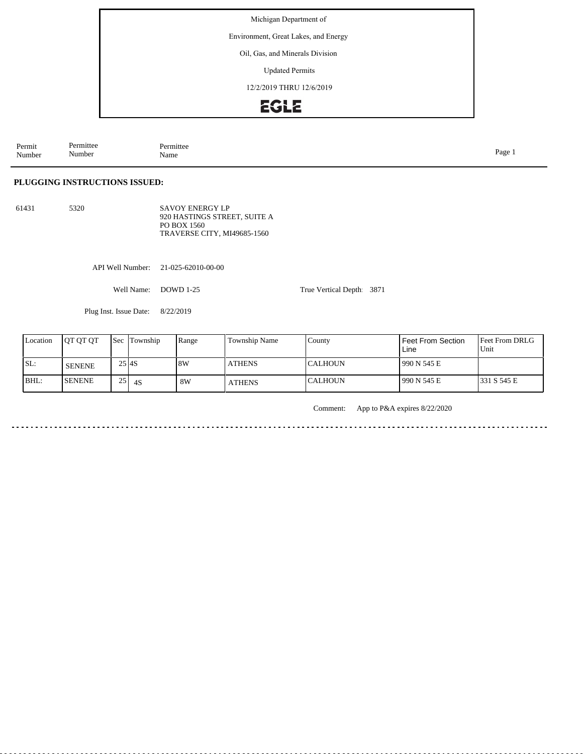Environment, Great Lakes, and Energy

#### Oil, Gas, and Minerals Division

Updated Permits

12/2/2019 THRU 12/6/2019

# EGLE

Permit Number Permittee Number Permittee<br>Name Name Page 1

#### **PLUGGING INSTRUCTIONS ISSUED:**

61431 5320 SAVOY ENERGY LP 920 HASTINGS STREET, SUITE A PO BOX 1560 TRAVERSE CITY, MI49685-1560

API Well Number: 21-025-62010-00-00

Well Name: DOWD 1-25

Plug Inst. Issue Date: 8/22/2019

| Location | <b>OT OT OT</b> | <b>Sec</b>          | Township | Range | <b>Township Name</b> | County          | Feet From Section<br>Line | <b>Feet From DRLG</b><br>Unit |
|----------|-----------------|---------------------|----------|-------|----------------------|-----------------|---------------------------|-------------------------------|
| ISL:     | <b>SENENE</b>   | 25 I <sub>4</sub> S |          | 18W   | <b>ATHENS</b>        | <b>ICALHOUN</b> | 990 N 545 E               |                               |
| BHL:     | <b>SENENE</b>   | 251<br>ں ک          | 4S       | 8W    | <b>ATHENS</b>        | <b>ICALHOUN</b> | 990 N 545 E               | 1331 S 545 E                  |

Comment: App to P&A expires 8/22/2020

 $\sim$   $\sim$   $\sim$ 

True Vertical Depth: 3871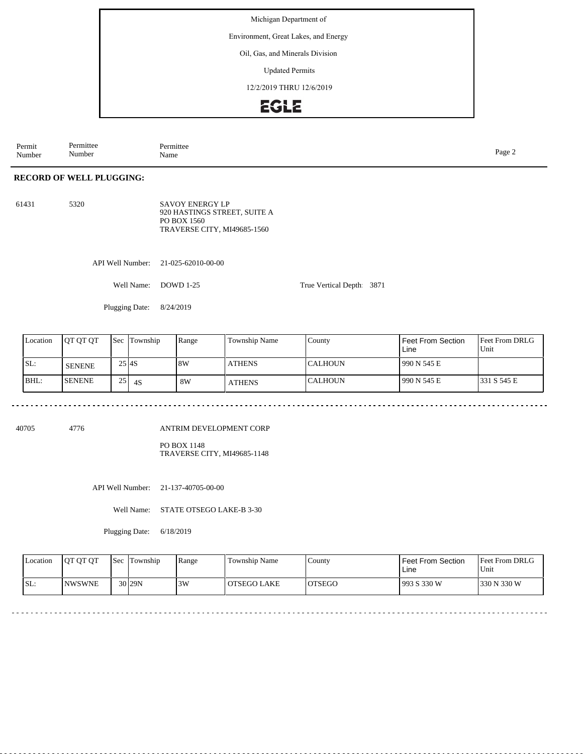Environment, Great Lakes, and Energy

#### Oil, Gas, and Minerals Division

Updated Permits

12/2/2019 THRU 12/6/2019

### EGLE

Permit Number Permittee Number Permittee<br>Name Page 2<br>Name

### **RECORD OF WELL PLUGGING:**

61431 5320 SAVOY ENERGY LP 920 HASTINGS STREET, SUITE A PO BOX 1560 TRAVERSE CITY, MI49685-1560

API Well Number: 21-025-62010-00-00

Well Name: DOWD 1-25

Plugging Date: 8/24/2019

| Location | <b>JOT OT OT</b> | <b>Sec</b>          | Township | Range | <b>Township Name</b> | County           | Feet From Section<br>Line | <b>Feet From DRLG</b><br>Unit |
|----------|------------------|---------------------|----------|-------|----------------------|------------------|---------------------------|-------------------------------|
| SL:      | <b>SENENE</b>    | 25 I <sub>4</sub> S |          | 8W    | <b>ATHENS</b>        | ICALHOUN         | 1990 N 545 E              |                               |
| BHL:     | <b>ISENENE</b>   | 251                 | 4S       | 8W    | <b>ATHENS</b>        | <b>I</b> CALHOUN | 1990 N 545 E              | 1331 S 545 E                  |

True Vertical Depth: 3871

40705 4776

#### ANTRIM DEVELOPMENT CORP

PO BOX 1148 TRAVERSE CITY, MI49685-1148

API Well Number: 21-137-40705-00-00

Well Name: STATE OTSEGO LAKE-B 3-30

Plugging Date: 6/18/2019

| <b>Location</b> | <b>OT OT OT</b> | <b>Sec</b> Township | Range | Township Name | County  | Feet From Section<br>Line | <b>Feet From DRLG</b><br>Unit |
|-----------------|-----------------|---------------------|-------|---------------|---------|---------------------------|-------------------------------|
| ISL:            | <b>INWSWNE</b>  | 30 <sub>129N</sub>  | 3W    | OTSEGO LAKE   | IOTSEGO | 1993 S 330 W              | 330 N 330 W                   |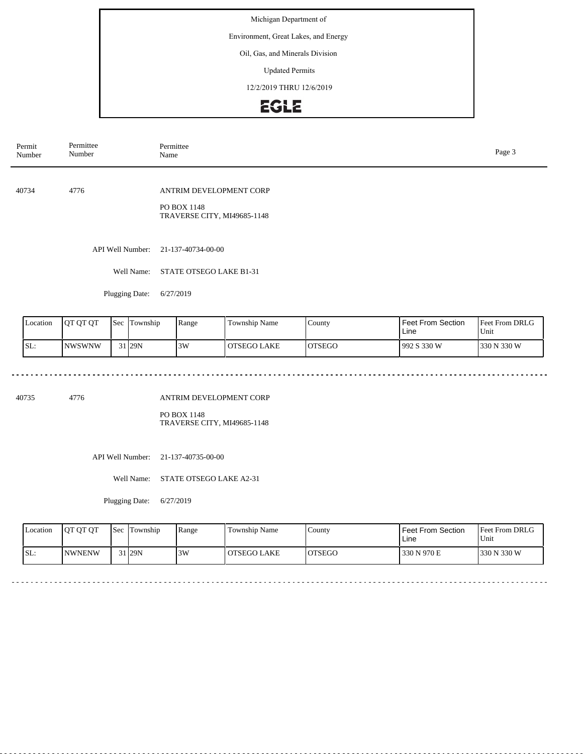Environment, Great Lakes, and Energy

### Oil, Gas, and Minerals Division

Updated Permits

12/2/2019 THRU 12/6/2019

# **EGLE**

| Permit<br>Number | Permittee<br>Number | Permittee<br>Name                                                     | Page 3 |
|------------------|---------------------|-----------------------------------------------------------------------|--------|
| 40734            | 4776                | ANTRIM DEVELOPMENT CORP<br>PO BOX 1148<br>TRAVERSE CITY, MI49685-1148 |        |
|                  | API Well Number:    | 21-137-40734-00-00                                                    |        |
|                  | Well Name:          | STATE OTSEGO LAKE B1-31                                               |        |
|                  | Plugging Date:      | 6/27/2019                                                             |        |

| Location | IOT OT OT      | <b>Sec</b> | Township | Range | <b>Township Name</b> | County  | <b>Feet From Section</b><br>Line | <b>Feet From DRLG</b><br>Unit |
|----------|----------------|------------|----------|-------|----------------------|---------|----------------------------------|-------------------------------|
| SL:      | <b>INWSWNW</b> |            | 31 29N   | 3W    | <b>OTSEGO LAKE</b>   | IOTSEGO | 992 S 330 W                      | 330 N 330 W                   |

40735 4776

#### ANTRIM DEVELOPMENT CORP

PO BOX 1148 TRAVERSE CITY, MI49685-1148

API Well Number: 21-137-40735-00-00

Well Name: STATE OTSEGO LAKE A2-31

Plugging Date: 6/27/2019

| <b>Location</b> | <b>OT OT OT</b> | l Sec | Township            | Range | Township Name      | County  | l Feet From Section<br>Line | <b>Feet From DRLG</b><br>Unit |
|-----------------|-----------------|-------|---------------------|-------|--------------------|---------|-----------------------------|-------------------------------|
| SL:             | <b>NWNENW</b>   |       | $31$ <sub>29N</sub> | 3W    | <b>OTSEGO LAKE</b> | IOTSEGO | 1330 N 970 E                | 1330 N 330 W                  |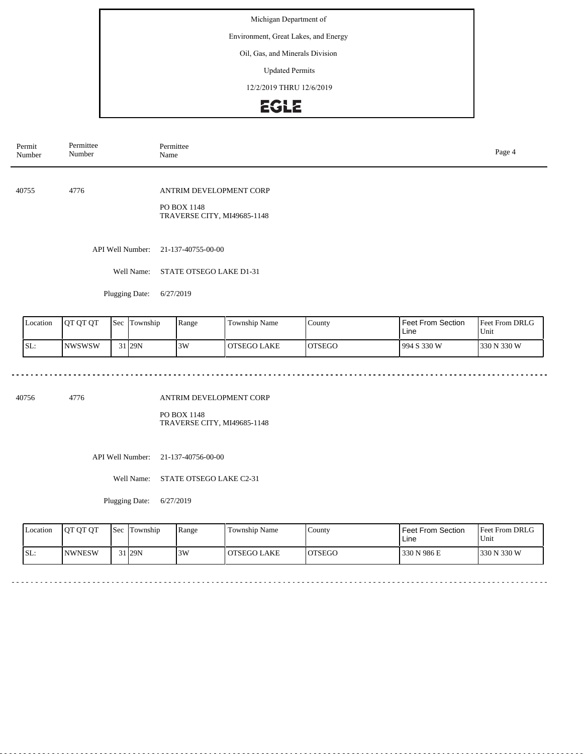Environment, Great Lakes, and Energy

### Oil, Gas, and Minerals Division

Updated Permits

12/2/2019 THRU 12/6/2019

# **EGLE**

| Permit<br>Number | Permittee<br>Number | Permittee<br>Name                                                     | Page 4 |
|------------------|---------------------|-----------------------------------------------------------------------|--------|
| 40755            | 4776                | ANTRIM DEVELOPMENT CORP<br>PO BOX 1148<br>TRAVERSE CITY, MI49685-1148 |        |
|                  | API Well Number:    | 21-137-40755-00-00                                                    |        |
|                  | Well Name:          | STATE OTSEGO LAKE D1-31                                               |        |
|                  | Plugging Date:      | 6/27/2019                                                             |        |

| Location | <b>OT OT OT</b> | 'Sec | Township          | Range | Township Name      | County        | <b>Feet From Section</b><br>Line | <b>Feet From DRLG</b><br>Unit |
|----------|-----------------|------|-------------------|-------|--------------------|---------------|----------------------------------|-------------------------------|
| SL:      | <b>INWSWSW</b>  |      | 31 <sub>29N</sub> | 3W    | <b>OTSEGO LAKE</b> | <b>OTSEGO</b> | 994 S 330 W                      | 330 N 330 W                   |

40756 4776

#### ANTRIM DEVELOPMENT CORP

PO BOX 1148 TRAVERSE CITY, MI49685-1148

API Well Number: 21-137-40756-00-00

Well Name: STATE OTSEGO LAKE C2-31

Plugging Date: 6/27/2019

| <b>Location</b> | <b>OT OT OT</b> | <b>Sec</b> | Township            | Range | Township Name      | County  | l Feet From Section<br>Line | <b>Feet From DRLG</b><br>Unit |
|-----------------|-----------------|------------|---------------------|-------|--------------------|---------|-----------------------------|-------------------------------|
| SL:             | <b>INWNESW</b>  |            | $31$ <sub>29N</sub> | 3W    | <b>OTSEGO LAKE</b> | IOTSEGO | 330 N 986 E                 | 1330 N 330 W                  |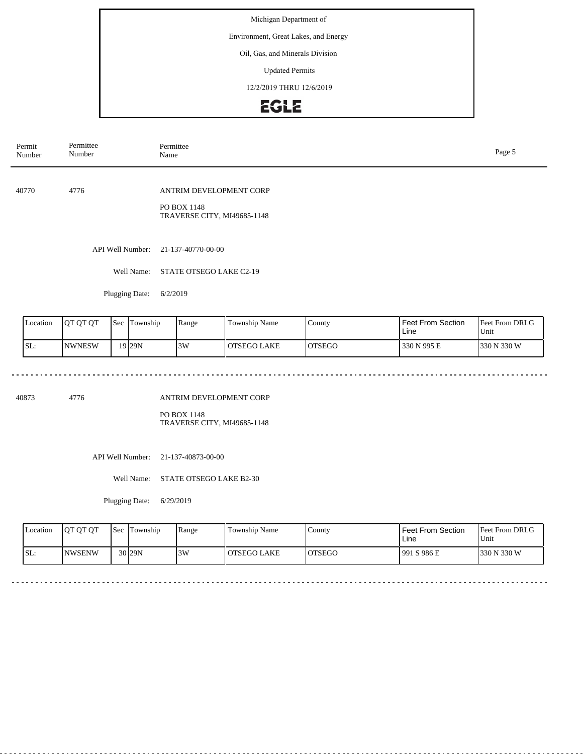Environment, Great Lakes, and Energy

### Oil, Gas, and Minerals Division

Updated Permits

12/2/2019 THRU 12/6/2019

# **EGLE**

| Permit<br>Number | Permittee<br>Number | Permittee<br>Name                                                     | Page 5 |
|------------------|---------------------|-----------------------------------------------------------------------|--------|
| 40770            | 4776                | ANTRIM DEVELOPMENT CORP<br>PO BOX 1148<br>TRAVERSE CITY, MI49685-1148 |        |
|                  | API Well Number:    | 21-137-40770-00-00                                                    |        |
|                  | Well Name:          | STATE OTSEGO LAKE C2-19                                               |        |
|                  | Plugging Date:      | 6/2/2019                                                              |        |

| Location | IOT OT OT      | 'Sec | Township | Range | Township Name      | County        | <b>Feet From Section</b><br>Line | <b>Feet From DRLG</b><br>Unit |
|----------|----------------|------|----------|-------|--------------------|---------------|----------------------------------|-------------------------------|
| SL:      | <b>INWNESW</b> |      | 19 29 N  | 3W    | <b>OTSEGO LAKE</b> | <b>OTSEGO</b> | 330 N 995 E                      | 330 N 330 W                   |

 $\sim$   $\sim$   $\sim$ 

 $\sim$   $\sim$   $\sim$ 

 $\omega$  in  $\omega$  in

40873 4776

### ANTRIM DEVELOPMENT CORP

PO BOX 1148 TRAVERSE CITY, MI49685-1148

API Well Number: 21-137-40873-00-00

Well Name: STATE OTSEGO LAKE B2-30

Plugging Date: 6/29/2019

<u>. . . . . . . . .</u>

| <b>Location</b> | <b>OT OT OT</b> | <b>Sec</b> | Township | Range | Township Name      | County  | l Feet From Section<br>Line | <b>Feet From DRLG</b><br>Unit |
|-----------------|-----------------|------------|----------|-------|--------------------|---------|-----------------------------|-------------------------------|
| SL:             | <b>NWSENW</b>   |            | $30$ 29N | 3W    | <b>OTSEGO LAKE</b> | IOTSEGO | 1991 S 986 E                | 1330 N 330 W                  |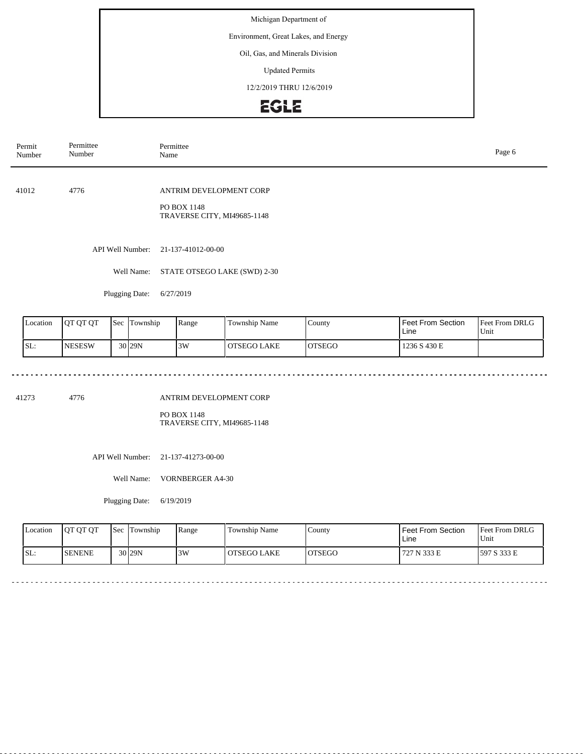Environment, Great Lakes, and Energy

#### Oil, Gas, and Minerals Division

Updated Permits

12/2/2019 THRU 12/6/2019

# EGLE

| Permit<br>Number | Permittee<br>Number | Permittee<br>Page 6<br>Name                                           |  |  |  |  |
|------------------|---------------------|-----------------------------------------------------------------------|--|--|--|--|
| 41012            | 4776                | ANTRIM DEVELOPMENT CORP<br>PO BOX 1148<br>TRAVERSE CITY, MI49685-1148 |  |  |  |  |
|                  |                     | API Well Number: 21-137-41012-00-00                                   |  |  |  |  |
|                  | Well Name:          | STATE OTSEGO LAKE (SWD) 2-30                                          |  |  |  |  |
|                  | Plugging Date:      | 6/27/2019                                                             |  |  |  |  |

Feet From DRLG Unit 1236 S 430 E Feet From Section Line County OTSEGO Location | QT QT QT | Sec | Township | Range | Township Name SL: NESESW Sec Township 30 29N 3W OTSEGO LAKE

41273 4776

#### ANTRIM DEVELOPMENT CORP

PO BOX 1148 TRAVERSE CITY, MI49685-1148

API Well Number: 21-137-41273-00-00

Well Name: VORNBERGER A4-30

Plugging Date: 6/19/2019

| <b>Location</b> | <b>OT OT OT</b> | <b>Sec</b> | Township  | Range | Township Name      | County  | l Feet From Section<br>Line | Feet From DRLG<br>Unit |
|-----------------|-----------------|------------|-----------|-------|--------------------|---------|-----------------------------|------------------------|
| SL:             | ISENENE         |            | $30$  29N | 3W    | <b>OTSEGO LAKE</b> | IOTSEGO | 727 N 333 E                 | 1597 S 333 E           |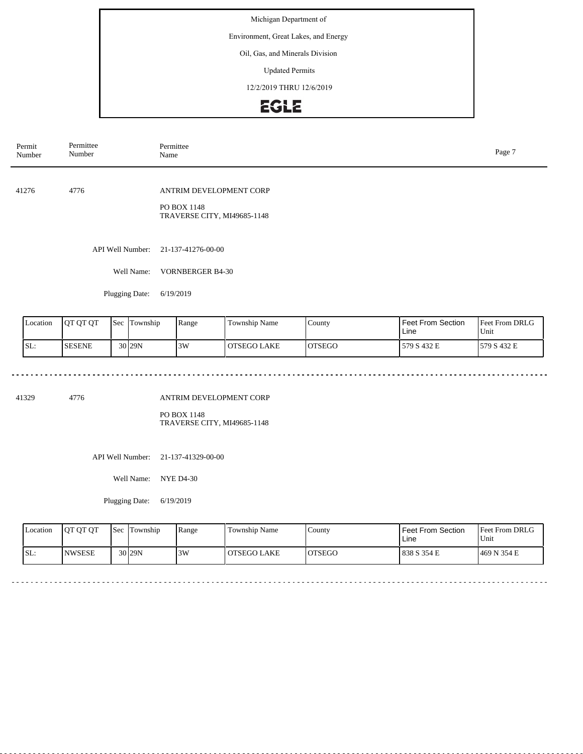Environment, Great Lakes, and Energy

### Oil, Gas, and Minerals Division

Updated Permits

12/2/2019 THRU 12/6/2019

# **EGLE**

| Permit<br>Number | Permittee<br>Number | Permittee<br>Name                          | Page 7 |
|------------------|---------------------|--------------------------------------------|--------|
| 41276            | 4776                | ANTRIM DEVELOPMENT CORP                    |        |
|                  |                     | PO BOX 1148<br>TRAVERSE CITY, MI49685-1148 |        |
|                  |                     | API Well Number: 21-137-41276-00-00        |        |
|                  | Well Name:          | <b>VORNBERGER B4-30</b>                    |        |
|                  | Plugging Date:      | 6/19/2019                                  |        |
|                  |                     |                                            |        |

| Location | IOT OT OT     | 'Sec | Township          | Range | <b>Township Name</b> | County  | <b>Feet From Section</b><br>Line | <b>Feet From DRLG</b><br>Unit |
|----------|---------------|------|-------------------|-------|----------------------|---------|----------------------------------|-------------------------------|
| SL:      | <b>SESENE</b> |      | 30 <sub>29N</sub> | 3W    | l OTSEGO LAKE        | IOTSEGO | 579 S 432 E                      | 579 S 432 E                   |

41329 4776

### ANTRIM DEVELOPMENT CORP

PO BOX 1148 TRAVERSE CITY, MI49685-1148

API Well Number: 21-137-41329-00-00

Well Name: NYE D4-30

Plugging Date: 6/19/2019

dia dia ara-

| <b>Location</b> | <b>OT OT OT</b> | <b>ISec</b> 1 | Township | Range | Township Name      | County        | l Feet From Section<br>Line | Feet From DRLG<br>Unit |
|-----------------|-----------------|---------------|----------|-------|--------------------|---------------|-----------------------------|------------------------|
| SL:             | <b>INWSESE</b>  |               | $30$ 29N | 3W    | <b>OTSEGO LAKE</b> | <b>OTSEGO</b> | 1838 S 354 E                | 1469 N 354 E           |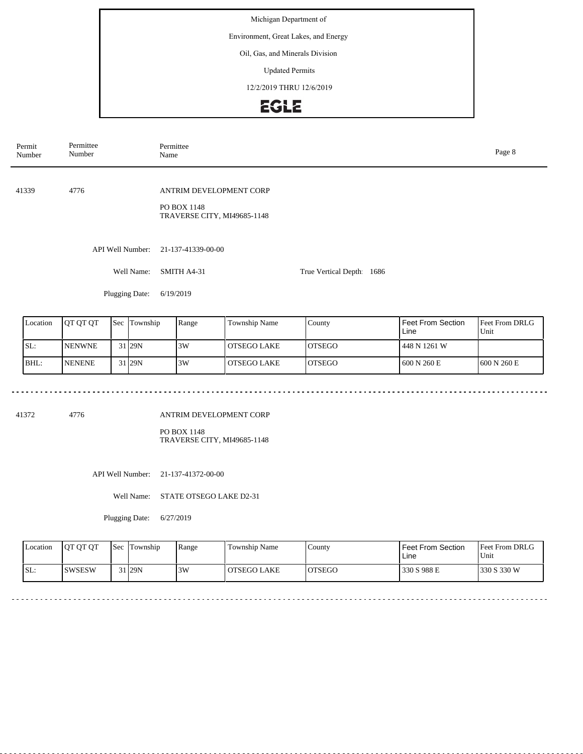Environment, Great Lakes, and Energy

#### Oil, Gas, and Minerals Division

Updated Permits

12/2/2019 THRU 12/6/2019

# EGLE

| Permit<br>Number | Permittee<br>Number | Permittee<br>Name                                                     |                           |  |  |  |
|------------------|---------------------|-----------------------------------------------------------------------|---------------------------|--|--|--|
| 41339            | 4776                | ANTRIM DEVELOPMENT CORP<br>PO BOX 1148<br>TRAVERSE CITY, MI49685-1148 |                           |  |  |  |
|                  | API Well Number:    | 21-137-41339-00-00                                                    |                           |  |  |  |
|                  | Well Name:          | SMITH A4-31                                                           | True Vertical Depth: 1686 |  |  |  |
|                  | Plugging Date:      | 6/19/2019                                                             |                           |  |  |  |
|                  |                     |                                                                       |                           |  |  |  |

| Location | <b>IOT OT OT</b> | <b>Sec Township</b> | Range | Township Name | County         | Feet From Section<br>Line | <b>Feet From DRLG</b><br>Unit |
|----------|------------------|---------------------|-------|---------------|----------------|---------------------------|-------------------------------|
| SL:      | <b>INENWNE</b>   | 31 <sub>29N</sub>   | 3W    | I OTSEGO LAKE | <b>IOTSEGO</b> | 448 N 1261 W              |                               |
| IBHL:    | <b>INENENE</b>   | 31 <sub>29N</sub>   | 3W    | l OTSEGO LAKE | <b>IOTSEGO</b> | 600 N 260 E               | 1600 N 260 E                  |

41372 4776

ANTRIM DEVELOPMENT CORP

PO BOX 1148 TRAVERSE CITY, MI49685-1148

API Well Number: 21-137-41372-00-00

Well Name: STATE OTSEGO LAKE D2-31

Plugging Date: 6/27/2019

| Location | <b>IOT OT OT</b> | <b>Sec Township</b> | Range | Township Name | County  | Feet From Section<br>Line | <b>Feet From DRLG</b><br>Unit |
|----------|------------------|---------------------|-------|---------------|---------|---------------------------|-------------------------------|
| SL:      | <b>SWSESW</b>    | 31 29N              | 3W    | OTSEGO LAKE   | IOTSEGO | 330 S 988 E               | 1330 S 330 W                  |

 $\frac{1}{2}$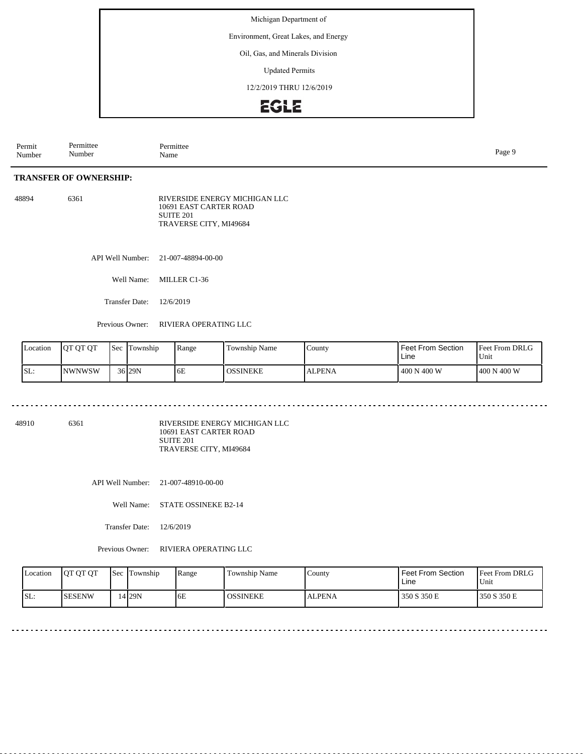Environment, Great Lakes, and Energy

#### Oil, Gas, and Minerals Division

Updated Permits

12/2/2019 THRU 12/6/2019

## EGLE

| Permit<br>Number | Permittee<br>Number | Permittee<br>Name | Page ! |
|------------------|---------------------|-------------------|--------|
|                  |                     |                   |        |

### **TRANSFER OF OWNERSHIP:**

| 48894 | 6361 | RIVERSIDE ENERGY MICHIGAN LLC |
|-------|------|-------------------------------|
|       |      | 10691 EAST CARTER ROAD        |
|       |      | SUITE 201                     |
|       |      | TRAVERSE CITY, MI49684        |

API Well Number: 21-007-48894-00-00

Well Name: MILLER C1-36

Transfer Date: 12/6/2019

Previous Owner: RIVIERA OPERATING LLC

| Location | OT OT OT      | <b>Sec</b> | Township            | Range | Township Name   | County        | <b>Feet From Section</b><br>Line | <b>Feet From DRLG</b><br>Unit |
|----------|---------------|------------|---------------------|-------|-----------------|---------------|----------------------------------|-------------------------------|
| SL:      | <b>NWNWSW</b> |            | 36 <sub>129</sub> N | 6E    | <b>OSSINEKE</b> | <b>ALPENA</b> | 400 N 400 W                      | 400 N 400 W                   |

<u>. . . . . . . . .</u>

48910 6361

RIVERSIDE ENERGY MICHIGAN LLC 10691 EAST CARTER ROAD SUITE 201 TRAVERSE CITY, MI49684

API Well Number: 21-007-48910-00-00

Well Name: STATE OSSINEKE B2-14

Transfer Date: 12/6/2019

| Location | <b>OT OT OT</b> | <b>Sec</b> | Township | Range | Township Name   | County        | <b>Feet From Section</b><br>Line | <b>Feet From DRLG</b><br>Unit |
|----------|-----------------|------------|----------|-------|-----------------|---------------|----------------------------------|-------------------------------|
| SL:      | <b>SESENW</b>   |            | 1 I 29 N | 10 E  | <b>OSSINEKE</b> | <b>ALPENA</b> | 350 S 350 E                      | 350 S 350 E                   |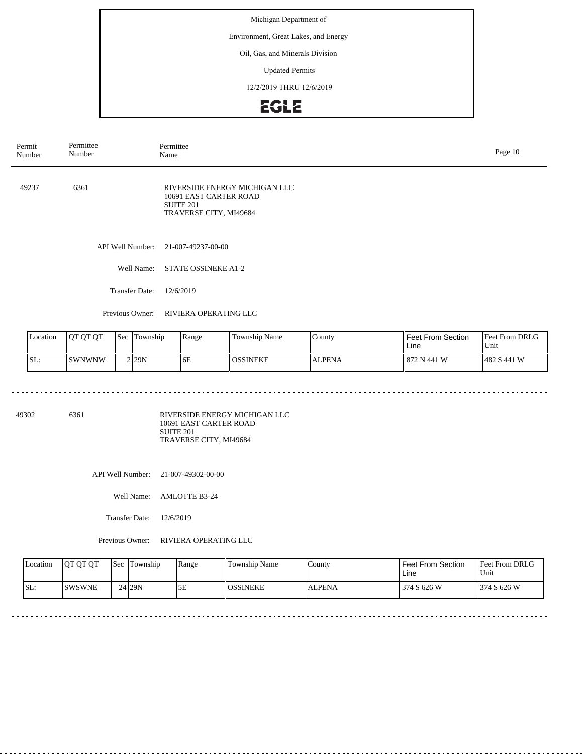Environment, Great Lakes, and Energy

#### Oil, Gas, and Minerals Division

Updated Permits

12/2/2019 THRU 12/6/2019

# **EGLE**

| Permit<br>Number | Permittee<br>Number   | Permittee<br>Name                                                                              | Page 10 |
|------------------|-----------------------|------------------------------------------------------------------------------------------------|---------|
| 49237            | 6361                  | RIVERSIDE ENERGY MICHIGAN LLC<br>10691 EAST CARTER ROAD<br>SUITE 201<br>TRAVERSE CITY, MI49684 |         |
|                  |                       | API Well Number: 21-007-49237-00-00                                                            |         |
|                  | Well Name:            | <b>STATE OSSINEKE A1-2</b>                                                                     |         |
|                  | <b>Transfer Date:</b> | 12/6/2019                                                                                      |         |
|                  | Previous Owner:       | RIVIERA OPERATING LLC                                                                          |         |
|                  |                       |                                                                                                |         |

| Location | <b>IOT OT OT</b> | 'Sec | Township | Range | Township Name   | County        | <b>Feet From Section</b><br>Line | <b>Feet From DRLG</b><br>Unit |
|----------|------------------|------|----------|-------|-----------------|---------------|----------------------------------|-------------------------------|
| ISL:     | <b>ISWNWNW</b>   |      | 2 29 N   | 6E    | <b>OSSINEKE</b> | <b>ALPENA</b> | 872 N 441 W                      | 1482 S 441 W                  |

49302 6361

RIVERSIDE ENERGY MICHIGAN LLC 10691 EAST CARTER ROAD SUITE 201 TRAVERSE CITY, MI49684

API Well Number: 21-007-49302-00-00

Well Name: AMLOTTE B3-24

Transfer Date: 12/6/2019

. . . . . . . . . . . . . . . . . . . .

| Location | <b>IOT OT OT</b> | <b>Sec</b> | Township | <b>Range</b> | <b>Township Name</b> | County        | Feet From Section<br>Line | <b>Feet From DRLG</b><br>'Unit |
|----------|------------------|------------|----------|--------------|----------------------|---------------|---------------------------|--------------------------------|
| SL:      | <b>ISWSWNE</b>   |            | 24 29 N  | 5Ε           | <b>OSSINEKE</b>      | <b>ALPENA</b> | 374 S 626 W               | 374 S 626 W                    |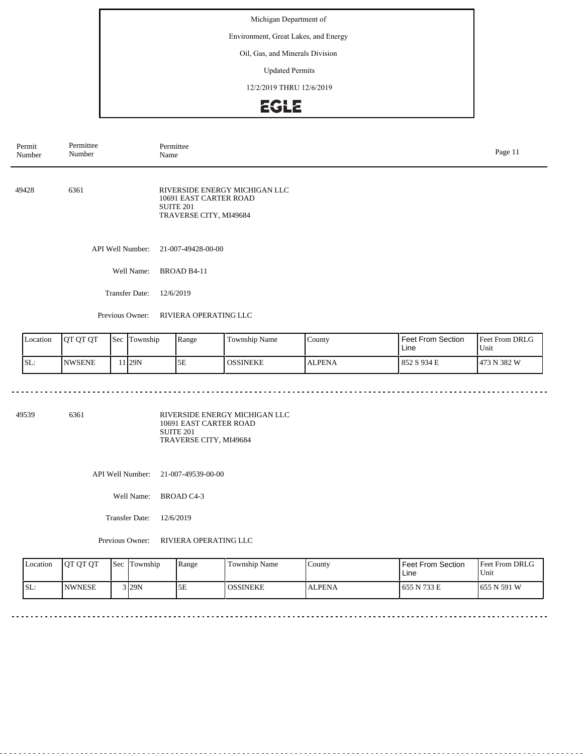Environment, Great Lakes, and Energy

#### Oil, Gas, and Minerals Division

Updated Permits

12/2/2019 THRU 12/6/2019

# EGLE

| Permit<br>Number | Permittee<br>Number   | Permittee<br>Name                                                                              | Page 11 |
|------------------|-----------------------|------------------------------------------------------------------------------------------------|---------|
| 49428            | 6361                  | RIVERSIDE ENERGY MICHIGAN LLC<br>10691 EAST CARTER ROAD<br>SUITE 201<br>TRAVERSE CITY, MI49684 |         |
|                  | API Well Number:      | 21-007-49428-00-00                                                                             |         |
|                  | Well Name:            | BROAD B4-11                                                                                    |         |
|                  | <b>Transfer Date:</b> | 12/6/2019                                                                                      |         |
|                  | Previous Owner:       | RIVIERA OPERATING LLC                                                                          |         |

| Location | OT OT OT      | <b>Sec</b> | Township           | Range | Township Name   | County.       | Feet From Section<br>Line | <b>Feet From DRLG</b><br>Unit |
|----------|---------------|------------|--------------------|-------|-----------------|---------------|---------------------------|-------------------------------|
| SL:      | <b>NWSENE</b> |            | 1 <sub>129</sub> N | 5E    | <b>OSSINEKE</b> | <b>ALPENA</b> | 852 S 934 E               | 1473 N 382 W                  |

49539 6361

RIVERSIDE ENERGY MICHIGAN LLC 10691 EAST CARTER ROAD SUITE 201 TRAVERSE CITY, MI49684

API Well Number: 21-007-49539-00-00

Well Name: BROAD C4-3

Transfer Date: 12/6/2019

| Location | JOT OT OT      | Sec | Township | Range | <b>Township Name</b> | County        | <b>Feet From Section</b><br>Line | <b>Feet From DRLG</b><br>'Unit |
|----------|----------------|-----|----------|-------|----------------------|---------------|----------------------------------|--------------------------------|
| SL:      | <b>INWNESE</b> |     | $3$ 29N  | 5Ε    | <b>OSSINEKE</b>      | <b>ALPENA</b> | 655 N 733 E                      | 1655 N 591 W                   |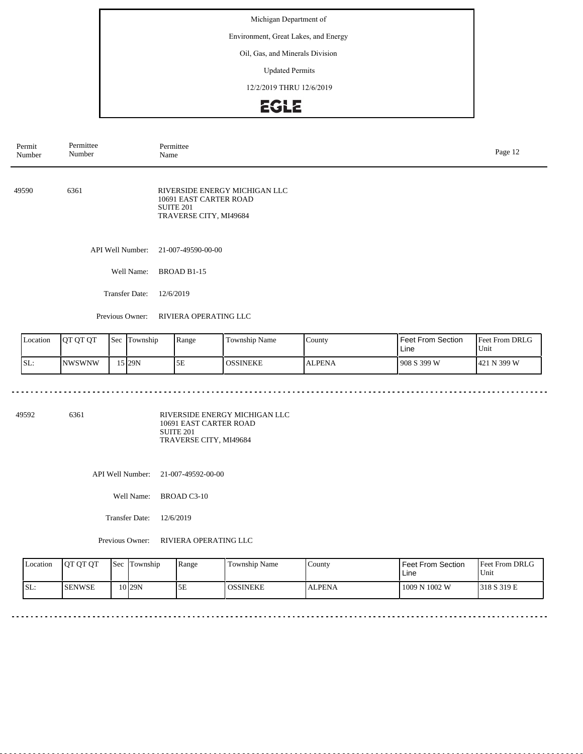Environment, Great Lakes, and Energy

#### Oil, Gas, and Minerals Division

Updated Permits

12/2/2019 THRU 12/6/2019

# EGLE

| Permittee<br>Permit<br>Number<br>Number |                       | Permittee<br>Page 12<br>Name                                                                          |  |  |  |  |
|-----------------------------------------|-----------------------|-------------------------------------------------------------------------------------------------------|--|--|--|--|
| 49590                                   | 6361                  | RIVERSIDE ENERGY MICHIGAN LLC<br>10691 EAST CARTER ROAD<br><b>SUITE 201</b><br>TRAVERSE CITY, MI49684 |  |  |  |  |
|                                         | API Well Number:      | 21-007-49590-00-00                                                                                    |  |  |  |  |
|                                         | Well Name:            | BROAD B1-15                                                                                           |  |  |  |  |
|                                         | <b>Transfer Date:</b> | 12/6/2019                                                                                             |  |  |  |  |
|                                         | Previous Owner:       | RIVIERA OPERATING LLC                                                                                 |  |  |  |  |

| Location | <b>OT OT OT</b> | Sec | Township | Range | Township Name | County        | I Feet From Section<br>l Line | <b>Feet From DRLG</b><br>Unit |
|----------|-----------------|-----|----------|-------|---------------|---------------|-------------------------------|-------------------------------|
| SL:      | INWSWNW         |     | 15 29N   | 5Ε    | OSSINEKE      | <b>ALPENA</b> | 1908 S 399 W                  | 421 N 399 W                   |

49592 6361

RIVERSIDE ENERGY MICHIGAN LLC 10691 EAST CARTER ROAD SUITE 201 TRAVERSE CITY, MI49684

API Well Number: 21-007-49592-00-00

Well Name: BROAD C3-10

Transfer Date: 12/6/2019

. . . . . . . . . . . . . . . . .

| Location | <b>OT OT OT</b> | <b>Sec</b> | Township | Range | <b>Township Name</b> | County        | Feet From Section<br>Line | <b>Feet From DRLG</b><br>Unit |
|----------|-----------------|------------|----------|-------|----------------------|---------------|---------------------------|-------------------------------|
| ISL:     | <b>ISENWSE</b>  |            | 0129N    | 5E    | <b>LOSSINEKE</b>     | <b>ALPENA</b> | 1009 N 1002 W             | 1318 S 319 E                  |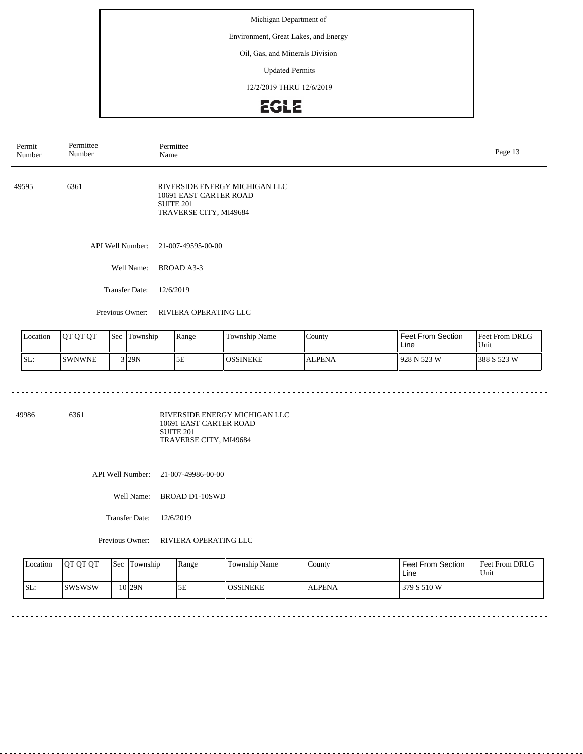Environment, Great Lakes, and Energy

#### Oil, Gas, and Minerals Division

Updated Permits

12/2/2019 THRU 12/6/2019

# EGLE

| Permit<br>Number | Permittee<br>Number   | Permittee<br>Page 13<br>Name                                                                              |  |  |  |  |
|------------------|-----------------------|-----------------------------------------------------------------------------------------------------------|--|--|--|--|
| 49595            | 6361                  | RIVERSIDE ENERGY MICHIGAN LLC<br>10691 EAST CARTER ROAD<br>SUITE <sub>201</sub><br>TRAVERSE CITY, MI49684 |  |  |  |  |
|                  | API Well Number:      | 21-007-49595-00-00                                                                                        |  |  |  |  |
|                  | Well Name:            | BROAD A3-3                                                                                                |  |  |  |  |
|                  | <b>Transfer Date:</b> | 12/6/2019                                                                                                 |  |  |  |  |
|                  |                       |                                                                                                           |  |  |  |  |

Previous Owner: RIVIERA OPERATING LLC

| Location | <b>IOT OT OT</b> | 'Sec | Township | Range | <b>Township Name</b> | County        | <b>Feet From Section</b><br>Line | <b>Feet From DRLG</b><br>Unit |
|----------|------------------|------|----------|-------|----------------------|---------------|----------------------------------|-------------------------------|
| ISL:     | <b>SWNWNE</b>    |      | 3 29N    | 5E    | <b>OSSINEKE</b>      | <b>ALPENA</b> | 928 N 523 W                      | 388 S 523 W                   |

49986 6361

RIVERSIDE ENERGY MICHIGAN LLC 10691 EAST CARTER ROAD SUITE 201 TRAVERSE CITY, MI49684

API Well Number: 21-007-49986-00-00

Well Name: BROAD D1-10SWD

Transfer Date: 12/6/2019

#### Previous Owner: RIVIERA OPERATING LLC

| Location | <b>IOT OT OT</b> | <b>Sec Township</b> | Range | <b>Township Name</b> | County        | Feet From Section<br>Line | <b>Feet From DRLG</b><br>Unit |
|----------|------------------|---------------------|-------|----------------------|---------------|---------------------------|-------------------------------|
| ISL:     | ISWSWSW          | 10 <sub>29N</sub>   | 5E    | OSSINEKE             | <b>ALPENA</b> | 379 S 510 W               |                               |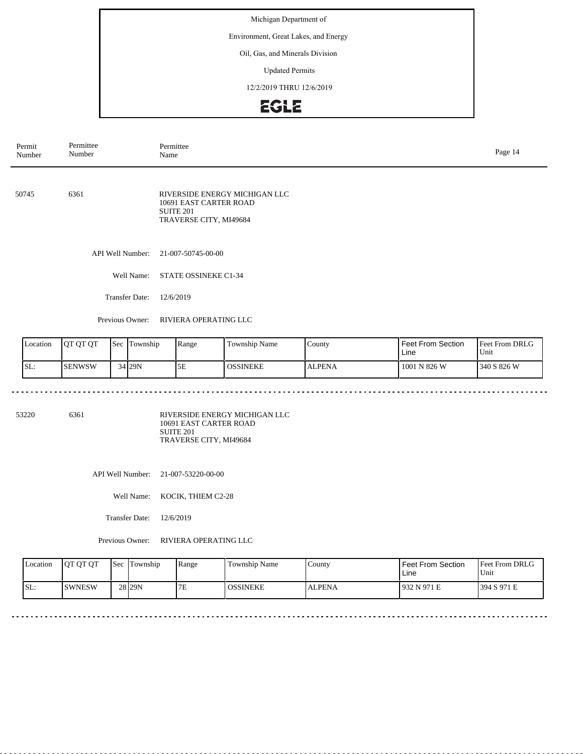Environment, Great Lakes, and Energy

#### Oil, Gas, and Minerals Division

Updated Permits

12/2/2019 THRU 12/6/2019

# EGLE

| Permit<br>Number                      | Permittee<br>Number                                                                                 | Permittee<br>Name                                             |                               |                   | Page 14                                 |
|---------------------------------------|-----------------------------------------------------------------------------------------------------|---------------------------------------------------------------|-------------------------------|-------------------|-----------------------------------------|
| 50745                                 | 6361                                                                                                | 10691 EAST CARTER ROAD<br>SUITE 201<br>TRAVERSE CITY, MI49684 | RIVERSIDE ENERGY MICHIGAN LLC |                   |                                         |
|                                       | API Well Number:                                                                                    | 21-007-50745-00-00                                            |                               |                   |                                         |
|                                       | Well Name:                                                                                          | STATE OSSINEKE C1-34                                          |                               |                   |                                         |
|                                       | <b>Transfer Date:</b>                                                                               | 12/6/2019                                                     |                               |                   |                                         |
|                                       | Previous Owner:                                                                                     | RIVIERA OPERATING LLC                                         |                               |                   |                                         |
| $\mathbf{r}$ is a set of $\mathbf{r}$ | $\mathbf{R}$ of $\mathbf{R}$ and $\mathbf{R}$ are set of $\mathbf{R}$<br>$\alpha$ $\alpha$ $\alpha$ | $n_{\rm max}$                                                 | <b>The complete Atoms</b>     | Fast Form Oration | $E_{\text{tot}} E_{\text{max}}$ DDI $C$ |

| Location | <b>OT OT OT</b> | 'Sec | Township | Range | Township Name   | County        | Feet From Section<br>Line | <b>Feet From DRLG</b><br>'Unit |
|----------|-----------------|------|----------|-------|-----------------|---------------|---------------------------|--------------------------------|
| SL:      | <b>SENWSW</b>   |      | 34 29N   | 5Ε    | <b>OSSINEKE</b> | <b>ALPENA</b> | 1001 N 826 W              | 340 S 826 W                    |

53220 6361

RIVERSIDE ENERGY MICHIGAN LLC 10691 EAST CARTER ROAD SUITE 201 TRAVERSE CITY, MI49684

API Well Number: 21-007-53220-00-00

Well Name: KOCIK, THIEM C2-28

Transfer Date: 12/6/2019

<u>. . . . . . . . . . . . . .</u>

| <b>Location</b> | <b>OT OT OT</b> | <b>Sec</b> | Township | Range | Township Name   | County        | Feet From Section<br>Line | <b>Feet From DRLG</b><br>Unit |
|-----------------|-----------------|------------|----------|-------|-----------------|---------------|---------------------------|-------------------------------|
| SL:             | <b>ISWNESW</b>  |            | 28 29N   | 7E    | <b>OSSINEKE</b> | <b>ALPENA</b> | l 932 N 971 E             | 1394 S 971 E                  |